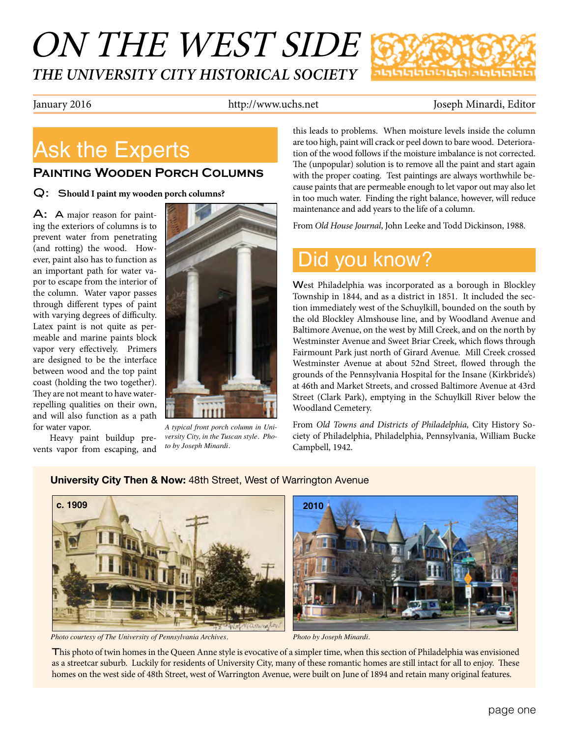# ON THE WEST SIDE *THE UNIVERSITY CITY HISTORICAL SOCIETY*



January 2016 http://www.uchs.net Joseph Minardi, Editor

# Ask the Experts

### **Painting Wooden Porch Columns**

Q: S**hould I paint my wooden porch columns?**

A: A major reason for painting the exteriors of columns is to prevent water from penetrating (and rotting) the wood. However, paint also has to function as an important path for water vapor to escape from the interior of the column. Water vapor passes through different types of paint with varying degrees of difficulty. Latex paint is not quite as permeable and marine paints block vapor very effectively. Primers are designed to be the interface between wood and the top paint coast (holding the two together). They are not meant to have waterrepelling qualities on their own, and will also function as a path for water vapor.

Heavy paint buildup prevents vapor from escaping, and



*A typical front porch column in University City, in the Tuscan style. Photo by Joseph Minardi.*

**University City Then & Now:** 48th Street, West of Warrington Avenue

this leads to problems. When moisture levels inside the column are too high, paint will crack or peel down to bare wood. Deterioration of the wood follows if the moisture imbalance is not corrected. The (unpopular) solution is to remove all the paint and start again with the proper coating. Test paintings are always worthwhile because paints that are permeable enough to let vapor out may also let in too much water. Finding the right balance, however, will reduce maintenance and add years to the life of a column.

From *Old House Journal*, John Leeke and Todd Dickinson, 1988.

## Did you know?

West Philadelphia was incorporated as a borough in Blockley Township in 1844, and as a district in 1851. It included the section immediately west of the Schuylkill, bounded on the south by the old Blockley Almshouse line, and by Woodland Avenue and Baltimore Avenue, on the west by Mill Creek, and on the north by Westminster Avenue and Sweet Briar Creek, which flows through Fairmount Park just north of Girard Avenue. Mill Creek crossed Westminster Avenue at about 52nd Street, flowed through the grounds of the Pennsylvania Hospital for the Insane (Kirkbride's) at 46th and Market Streets, and crossed Baltimore Avenue at 43rd Street (Clark Park), emptying in the Schuylkill River below the Woodland Cemetery.

From *Old Towns and Districts of Philadelphia,* City History Society of Philadelphia, Philadelphia, Pennsylvania, William Bucke Campbell, 1942.

# **c. 1909** Mundillon

*Photo courtesy of The University of Pennsylvania Archives. Photo by Joseph Minardi.*



This photo of twin homes in the Queen Anne style is evocative of a simpler time, when this section of Philadelphia was envisioned as a streetcar suburb. Luckily for residents of University City, many of these romantic homes are still intact for all to enjoy. These homes on the west side of 48th Street, west of Warrington Avenue, were built on June of 1894 and retain many original features.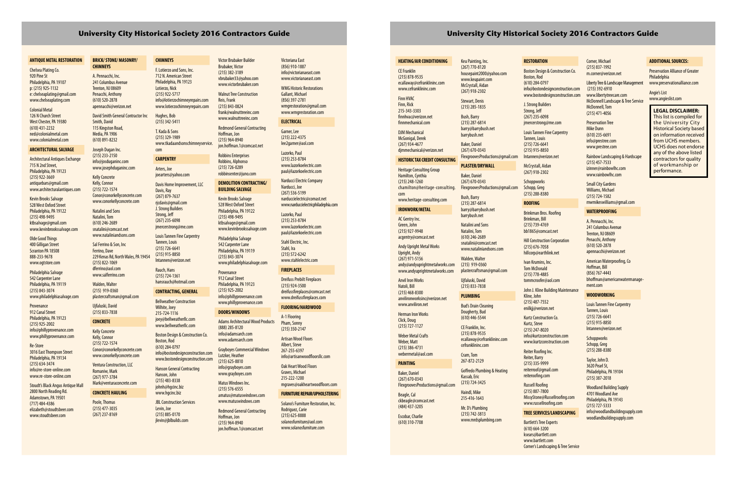### **ANTIQUE METAL RESTORATION**

Chelsea Plating Co. 920 Pine St Philadelphia, PA 19107 p: (215) 925-1132 e: chelseaplating@gmail.com www.chelseaplating.com

Colonial Metal 126 N Church Street West Chester, PA 19380 (610) 431-2232 ned@colonialmetal.com www.colonialmetal.com

### **ARCHITECTURAL SALVAGE**

Architectural Antiques Exchange 715 N 2nd Street, Philadelphia, PA 19123 (215) 922-3669 antiquebars@gmail.com www.architecturalantiques.com

Kevin Brooks Salvage 528 West Oxford Street Philadelphia, PA 19122 (215) 498-9495 ktbsalvage@gmail.com www.kevinbrookssalvage.com

Olde Good Things 400 Gilligan Street Scranton PA 18508 888-233-9678 www.ogtstore.com

Philadelphia Salvage 542 Carpenter Lane Philadelphia, PA 19119 (215) 843-3074 www.philadelphiasalvage.com

### **Provenance**

912 Canal Street Philadelphia, PA 19123 (215) 925-2002 info@phillyprovenance.com www.phillyprovenance.com

Re-Store 3016 East Thompson Street Philadelphia, PA 19134 (215) 634-3474 info@re-store-online.com www.re-store-online.com

Stoudt's Black Angus Antique Mall 2800 North Reading Rd. Adamstown, PA 19501 (717) 484-4386 elizabeth@stoudtsbeer.com www.stoudtsbeer.com

### **BRICK/ STONE/ MASONRY/ CHIMNEYS**

A. Pennacchi, Inc.

Trenton, NJ 08609 Penacchi, Anthony (610) 520-2878

Joseph Dugan Inc. (215) 233-2150 info@josduganinc.com www.josephduganinc.com

Kelly Concrete Kelly, Connor (215) 722-1574 Conor@conorkellyconcrete.com www.conorkellyconcrete.com Natalini and Sons Natalini, Tom (610) 246-2689 snatalini@comcast.net

> **JBL Construction Services** Levin, Joe (215) 885-0170 jlevin@jblbuilds.com

www.nataliniandsons.com Sal Ferrino & Son, Inc Ferrino, Dave 229 Kenas Rd, North Wales, PA 19454 (215) 822-1069 dferrino@aol.com www.salferrino.com

241 Columbus Avenue apennacchi@verizon.net David Smith General Contractor Inc F. Lotierzo and Sons, Inc. 712 N. American Street Philadelphia, PA 19123 Lotierzo, Nick (215) 922-5717 info@lotierzochimneyrepairs.com www.lotierzochimneyrepairs.com Hughes, Bob

Walden, Walter (215) 919-0360 plastercraftsman@gmail.com Ujfaluski, David

Smith, David 115 Kingston Road, Media, PA 1906 (610) 891-8232 (215) 342-5411 T. Kada & Sons (215) 329-1989 www.tkadaandsonschimneyservice. com

(215) 833-7838 **CONCRETE**

Kelly Concrete Kelly, Connor (215) 722-1574 Conor@conorkellyconcrete.com www.conorkellyconcrete.com

Ventura Construction, LLC Romaniw, Mark (267) 977-3784 Mark@venturaconcrete.com

### **CONCRETE HAULING**

Poole, Thomas (215) 477-3035 (267) 237-8169 **CHIMNEYS**

**CARPENTRY**  Arters, Joe joearters@yahoo.com Davis Home Improvement, LLC

Davis, Ray (267) 879-7637 rjcdavis@gmail.com J. Strong Builders Strong, Jeff (267) 235-6098 jmercerstrong@me.com Louis Tannen Fine Carpentry

> Rodriguez, Carie (215) 625-8888 solanosfurniture@aol.com www.solanosfurniture.com

Tannen, Louis (215) 726-6641 (215) 915-8850 lntannen@verizon.net

Rauch, Hans (215) 724-1361 hansrauch@hotmail.com **CONTRACTING, GENERAL** Bellweather Construction Wilhite, Joey 215-724-1116 joey@bellweatherllc.com www.bellweatherllc.com Boston Design & Construction Co.

Boston, Rod (610) 284-0797

info@bostondesignconstruction.com www.bostondesignconstruction.com

Hanson General Contracting

Hanson, John (215) 483-8338 johnh@hgcinc.biz www.hgcinc.biz

Victor Brubaker Builder Brubaker, Victor (215) 382-3189 vbrubaker33@yahoo.com www.victorbrubaker.com

Walnut Tree Construction Reis, Frank (215) 843-0824 frank@walnuttreeinc.com www.walnuttreeinc.com

> Redmond General Contracting Hoffman, Jon (215) 964-8940 jon.hoffman.1@comcast.net

Robbins Enterprises Robbins, Alphonso (215) 726-0289 robbinsenter@juno.com

### **DEMOLITION CONTRACTING/ BUILDING SALVAGE**

Kevin Brooks Salvage 528 West Oxford Street Philadelphia, PA 19122 (215) 498-9495 ktbsalvage@gmail.com www.kevinbrookssalvage.com

Philadelphia Salvage 542 Carpenter Lane Philadelphia, PA 19119 (215) 843-3074 www.philadelphiasalvage.com

**Schoppworks** Schopp, Greg (215) 288-8380

Provenance 912 Canal Street Philadelphia, PA 19123 (215) 925-2002 info@phillyprovenance.com www.phillyprovenance.com **Hill Construction Corporation** (215) 676-7058 hillcorp@earthlink.net

### **DOORS/WINDOWS**

Adams Architectural Wood Products (888) 285-8120 info@adamsarch.com www.adamsarch.com

Grayboyes Commercial Windows Lutzker, Heather (215) 625-8810 info@grayboyes.com www.grayboyes.com

Matus Windows Inc. (215) 576-6555 amatus@matuswindows.com www.matuswindows.com

Redmond General Contracting Hoffman, Jon (215) 964-8940 jon.hoffman.1@comcast.net

### Victoriana East (856) 910-1887 info@victorianaeast.com www.victorianaeast.com

WMG Historic Restorations Gallant, Michael (856) 397-2781 wmgrestoration@gmail.com

www.wmgrestoration.com

### **ELECTRICAL**

Garner, Lee (215) 222-4375 lee2garner@aol.com Lazorko, Paul

> (215) 253-8784 www.lazorkoelectric.com paul@lazorkoelectric.com

> > **Schoppworks** Schopp, Greg (215) 288-8380

Narducci Electric Company Narducci, Joe (267) 536-5199 narduccielectric@comast.net www.narduccielectricphiladephia.com

Lazorko, Paul (215) 253-8784 www.lazorkoelectric.com paul@lazorkoelectric.com

Stahl Electric, Inc. Stahl, Ira (215) 572-6242 www.stahlelectric.com

### **FIREPLACES**

Dreifuss Prebilt Fireplaces (215) 924-3500 dreifussfireplaces@comcast.net www.dreifussfireplaces.com

### **FLOORING/HARDWOOD**

A-1 Flooring Pham, Sonny (215) 350-2147

Artisan Wood Floors Albert, Steve 267-255-6397

info@artisanwoodfloorsllc.com Oak Heart Wood Floors

Graves, Michael 215-222-1200 mgraves@oakheartwoodfloors.com

### **FURNITURE REPAIR/UPHOLSTERING**

Solano's Furniture Restoration, Inc.

### **HEATING/AIR CONDITIONING**

CE Franklin (215) 878-9535 ecallaway@cefranklininc.com www.cefranklininc.com

Finn HVAC Finn, Rick 215-343-3303

finnhvac@verizon.net finnmechanical.com DJM Mechanical

McGonigal, Derek (267) 934-4677 djmmechanical@verizon.net

### **HISTORIC TAX CREDIT CONSULTING**

Heritage Consulting Group Hamilton, Cynthia (215) 248-1260 chamilton@heritage-consulting.

com

www.heritage-consulting.com

### **IRONWORK/METAL**

AC Gentry Inc. Green, John (215) 927-9948 acgentry@comcast.net

Andy Upright Metal Works Upright, Andy (267) 971-5156

andy@andyuprightmetalworks.com www.andyuprightmetalworks.com

Anvil Iron Works (215) 468-8300

Natoli, Bill

anvilironworksinc@verizon.net www.anviliron.net

Herman Iron Works Click, Doug

(215) 727-1127 Weber Metal Crafts

Weber, Matt (215) 386-4731 webermetal@aol.com

### **PAINTING**

Baker, Daniel (267) 670-0343 FlexgroovesProductions@gmail.com

Beagle, Cal ckbeagle@comcast.net (484) 437-3205

Escobar, Charlie (610) 310-7708

Keu Painting, Inc. (267) 770-8120 housepaint2000@yahoo.com www.keupaint.com McCrystall, Aidan

(267) 918-2302 Stewart, Denis (215) 285-1835

Bush, Barry

(215) 287-6814 barry@barrybush.net barrybush.net

Baker, Daniel (267) 670-0343 FlexgroovesProductions@gmail.com

### **PLASTER/DRYWALL**

Baker, Daniel (267) 670-0343 FlexgroovesProductions@gmail.com

Bush, Barry (215) 287-6814 barry@barrybush.net barrybush.net Natalini and Sons Natalini, Tom (610) 246-2689 snatalini@comcast.net www.nataliniandsons.com

Walden, Walter (215) 919-0360

plastercraftsman@gmail.com

Ujfaluski, David (215) 833-7838 **PLUMBING** Bud's Drain Cleaning Dougherty, Bud (610) 446-5544 CE Franklin, Inc. (215) 878-9535

ecallaway@cefranklininc.com cefranklininc.com Cram, Tom 267-872-2129

Goffredo Plumbing & Heating

Kassab, Eric (215) 724-3425 Haindl, Mike 215-416-1643 Mr. D's Plumbing (215) 742-3813 www.mrdsplumbing.com

### **RESTORATION**

Boston Design & Construction Co. Boston, Rod (610) 284-0797 info@bostondesignconstruction.com www.bostondesignconstruction.com

J. Strong Builders Strong, Jeff

(267) 235-6098 jmercerstrong@me.com

Louis Tannen Fine Carpentry Tannen, Louis (215) 726-6641 (215) 915-8850 lntannen@verizon.net

McCrystall, Aidan (267) 918-2302

### **ROOFING**

Brinkman Bros. Roofing Brinkman, Bill (215) 739-4769 bb1865@comcast.net

Ivan Krumins, Inc. Tom McDonald (215) 778-4885 tommcroofer@aol.com

John J. Kline Building Maintenance

Kline, John

(215) 487-7552 enilkjj@verizon.net

Kurtz Construction Co.

Kurtz, Steve (215) 247-8020 info@kurtzconstruction.com www.kurtzconstruction.com

### Reiter Roofing Inc. Reiter, Barry (215) 335-9999 reiterroof@gmail.com

reiteroofing.com Russell Roofing (215) 887-7800 MissyStone@Russellroofing.com www.russellroofing.com

### **TREE SERVICES/LANDSCAPING**

Bartlett's Tree Experts (610) 664-3200 ksears@bartlett.com www.bartlett.com Corner's Landscaping & Tree Service Corner, Michael (215) 837-1992 m.corner@verizon.net

Liberty Tree & Landscape Management (215) 392-6910 www.libertytreecare.com McDonnell Landscape & Tree Service McDonnell, Tom (215) 471-4056

Preservation Tree Mike Dunn (610) 235-6691 info@prestree.com www.prestree.com

Rainbow Landscaping & Hardscape (215) 457-7533 izinner@rainbowlhc.com www.rainbowlhc.com

Small City Gardens Williams, Michael (215) 724-1582 mwmikeswilliams@gmail.com

### **WATERPROOFING**

A. Pennacchi, Inc. 241 Columbus Avenue Trenton, NJ 08609 Penacchi, Anthony (610) 520-2878 apennacchi@verizon.net

American Waterproofing, Co Hoffman, Bill (856) 767-4443 bhoffman@americanwatermanagement.com

### **WOODWORKING**

Louis Tannen Fine Carpentry Tannen, Louis (215) 726-6641 (215) 915-8850 lntannen@verizon.net

Taylor, John D. 3620 Pearl St, Philadelphia, PA 19104 (215) 387-2018

Woodland Building Supply 4701 Woodland Ave Philadelphia, PA 19143 (215) 727-5333 info@woodlandbuildingsupply.com woodlandbuildingsupply.com

### **ADDITIONAL SOURCES:**

Preservation Alliance of Greater Philadelphia www.preservationalliance.com

Angie's List www.angieslist.com

**LEGAL DISCLAIMER:** This list is compiled for the University City Historical Society based on information received from UCHS members. UCHS does not endorse any of the above listed contractors for quality of workmanship or performance.

### **University City Historical Society 2016 Contractors Guide University City Historical Society 2016 Contractors Guide**